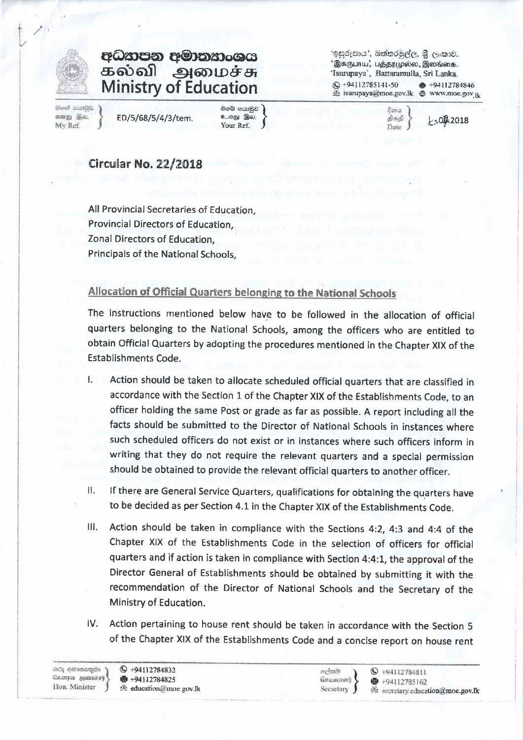

## අධතපන අමාතකංශය கல்வி அமைச்சு **Ministry of Education**

මතේ පොලිඩ எனது இல. My Ref.

ED/5/68/5/4/3/tem.

ඔමේ පයාමුව உறது இல. Your Ref.

'ඉසුරුපාය', බත්තරමුල්ල, ශී ලංකාව. 'இசுருபாய', பத்தூமுல்ல, இலங்கை, 'Isurupaya', Battaramulla, Sri Lanka.  $Q + 94112785141 - 50$ ● +94112784846 isurupaya@moe.gov.lk @ www.moe.gov R

විනය

திக்கி

Date J

 $-00.2018$ 

## **Circular No. 22/2018**

All Provincial Secretaries of Education. Provincial Directors of Education. Zonal Directors of Education. Principals of the National Schools,

## Allocation of Official Quarters belonging to the National Schools

The instructions mentioned below have to be followed in the allocation of official quarters belonging to the National Schools, among the officers who are entitled to obtain Official Quarters by adopting the procedures mentioned in the Chapter XIX of the **Establishments Code.** 

- Action should be taken to allocate scheduled official quarters that are classified in  $\mathbf{1}$ accordance with the Section 1 of the Chapter XIX of the Establishments Code, to an officer holding the same Post or grade as far as possible. A report including all the facts should be submitted to the Director of National Schools in instances where such scheduled officers do not exist or in instances where such officers inform in writing that they do not require the relevant quarters and a special permission should be obtained to provide the relevant official quarters to another officer.
- If there are General Service Quarters, qualifications for obtaining the quarters have H. to be decided as per Section 4.1 in the Chapter XIX of the Establishments Code.
- Action should be taken in compliance with the Sections 4:2, 4:3 and 4:4 of the  $III.$ Chapter XIX of the Establishments Code in the selection of officers for official quarters and if action is taken in compliance with Section 4:4:1, the approval of the Director General of Establishments should be obtained by submitting it with the recommendation of the Director of National Schools and the Secretary of the Ministry of Education.
- Action pertaining to house rent should be taken in accordance with the Section 5 IV. of the Chapter XIX of the Establishments Code and a concise report on house rent